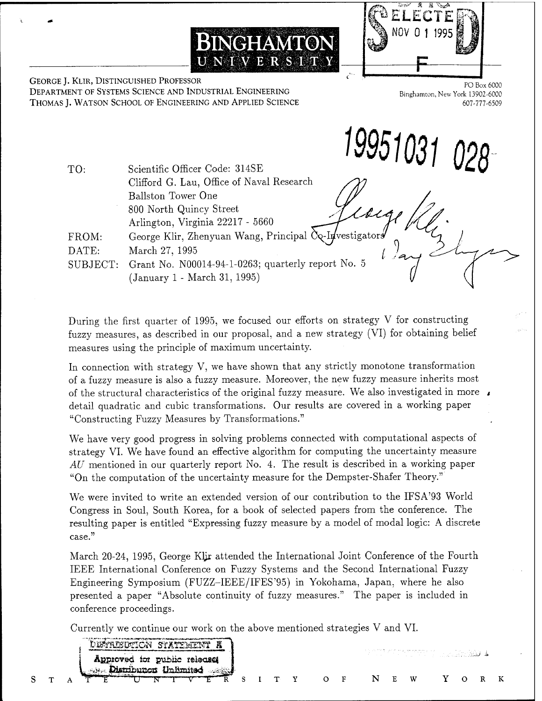

GEORGE J. KLIR, DISTINGUISHED PROFESSOR DEPARTMENT OF SYSTEMS SCIENCE AND INDUSTRIAL ENGINEERING THOMAS J. WATSON SCHOOL OF ENGINEERING AND APPLIED SCIENCE

*^951031028*

| TO:      | Scientific Officer Code: 314SE                         |
|----------|--------------------------------------------------------|
|          | Clifford G. Lau, Office of Naval Research              |
|          | Ballston Tower One                                     |
|          | 800 North Quincy Street                                |
|          | Arlington, Virginia 22217 - 5660                       |
| FROM:    | George Klir, Zhenyuan Wang, Principal Co-Investigators |
| DATE:    | March 27, 1995                                         |
| SUBJECT: | Grant No. N00014-94-1-0263; quarterly report No. 5     |
|          | (January 1 - March 31, 1995)                           |

**BlNGHAMTON**

UNIVERSITY

During the first quarter of 1995, we focused our efforts on strategy V for constructing fuzzy measures, as described in our proposal, and a new strategy (VI) for obtaining belief measures using the principle of maximum uncertainty.

In connection with strategy V, we have shown that any strictly monotone transformation of a fuzzy measure is also a fuzzy measure. Moreover, the new fuzzy measure inherits most of the structural characteristics of the original fuzzy measure. We also investigated in more detail quadratic and cubic transformations. Our results are covered in a working paper "Constructing Fuzzy Measures by Transformations."

We have very good progress in solving problems connected with computational aspects of strategy VI. We have found an effective algorithm for computing the uncertainty measure *AU* mentioned in our quarterly report No. 4. The result is described in a working paper "On the computation of the uncertainty measure for the Dempster-Shafer Theory."

We were invited to write an extended version of our contribution to the IFSA'93 World Congress in Soul, South Korea, for a book of selected papers from the conference. The resulting paper is entitled "Expressing fuzzy measure by a model of modal logic: A discrete case. *<sup>&</sup>gt; <sup>&</sup>gt;*

March 20-24, 1995, George Kljr attended the International Joint Conference of the Fourth IEEE International Conference on Fuzzy Systems and the Second International Fuzzy Engineering Symposium (FUZZ-IEEE/IFES'95) in Yokohama, Japan, where he also presented a paper "Absolute continuity of fuzzy measures." The paper is included in conference proceedings.

Currently we continue our work on the above mentioned strategies V and VI.

 $S$ 

|  | STATISTICAL R                                          |  |                   |               |    |              |   | 그 이번 스피어는 어떻게 하고 있지만 않았네요. |  |  |
|--|--------------------------------------------------------|--|-------------------|---------------|----|--------------|---|----------------------------|--|--|
|  | Approved for public releases<br>Distribution Unlimited |  |                   |               |    |              |   |                            |  |  |
|  |                                                        |  | $S \cup T \cup Y$ | $\bigcap$ $F$ | N. | $\mathbf{F}$ | W |                            |  |  |

PO Box 6000 Binghamton, New York 13902-6000 607-777-6509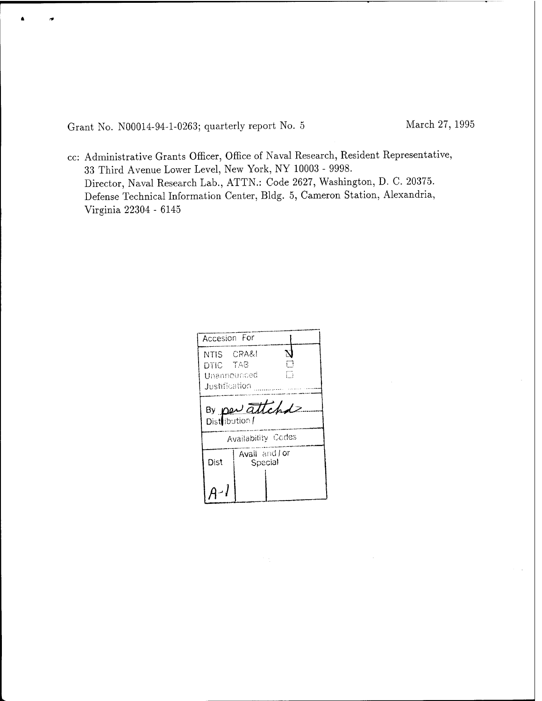Grant No. N00014-94-1-0263; quarterly report No. <sup>5</sup> March 27, 1995

cc: Administrative Grants Officer, Office of Naval Research, Resident Representative, 33 Third Avenue Lower Level, New York, NY 10003 - 9998. Director, Naval Research Lab., ATTN.: Code 2627, Washington, D. C. 20375. Defense Technical Information Center, Bldg. 5, Cameron Station, Alexandria, Virginia 22304 - 6145

| Accesion For                                           |                          |   |  |  |  |  |  |
|--------------------------------------------------------|--------------------------|---|--|--|--|--|--|
| NTIS CRA&I<br>DTIC TAB<br>thannounced<br>Justification |                          | П |  |  |  |  |  |
| By per attitude<br>Distribution /                      |                          |   |  |  |  |  |  |
|                                                        | Availability Codes       |   |  |  |  |  |  |
| Dist                                                   | Avail and for<br>Special |   |  |  |  |  |  |
|                                                        |                          |   |  |  |  |  |  |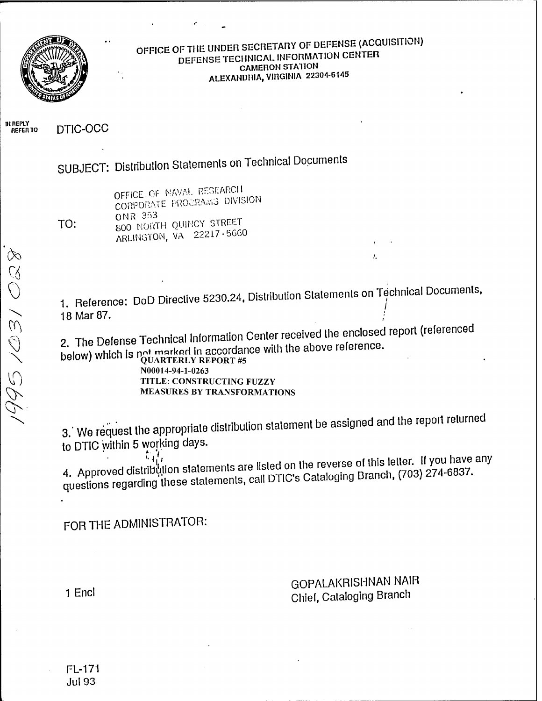

#### OFFICE OF THE UNDER SECRETARY OF DEFENSE (ACQUISITION) DEFENSE TECHNICAL INFORMATION CENTER **CAMERON STATION** ALEXANDRIA, VIRGINIA 22304-6145

IN REPLY<br>REFER TO

DTIC-OCC

SUBJECT: Distribution Statements on Technical Documents

| TO: |  |
|-----|--|

OFFICE OF NAVAL RESEARCH CORPORATE PROGRAMS DIVISION **ONR 353** 800 NORTH QUINCY STREET ARLINGTON, VA 22217-5660

1. Reference: DoD Directive 5230.24, Distribution Statements on Technical Documents, 18 Mar 87.

2. The Defense Technical Information Center received the enclosed report (referenced below) which is  $\eta_{\text{UARTERLY REPORT}\#5}^{\text{maximal}}$  and  $\eta_{\text{UARTERLY REPORT}\#5}^{\text{maximal}}$ 

N00014-94-1-0263 TITLE: CONSTRUCTING FUZZY **MEASURES BY TRANSFORMATIONS** 

3. We request the appropriate distribution statement be assigned and the report returned to DTIC within 5 working days.

4. Approved distribution statements are listed on the reverse of this letter. If you have any questions regarding these statements, call DTIC's Cataloging Branch, (703) 274-6837.

FOR THE ADMINISTRATOR:

**GOPALAKRISHNAN NAIR** Chief, Cataloging Branch

 $\mathbf{L}$ 

1 Encl